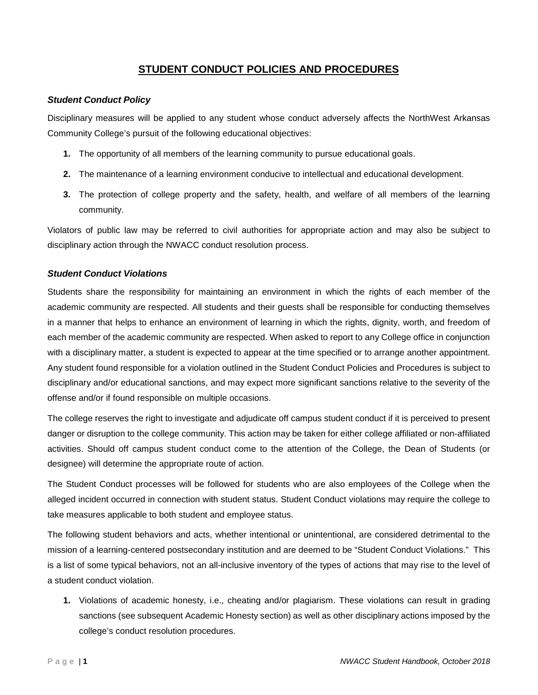# **STUDENT CONDUCT POLICIES AND PROCEDURES**

# *Student Conduct Policy*

Disciplinary measures will be applied to any student whose conduct adversely affects the NorthWest Arkansas Community College's pursuit of the following educational objectives:

- **1.** The opportunity of all members of the learning community to pursue educational goals.
- **2.** The maintenance of a learning environment conducive to intellectual and educational development.
- **3.** The protection of college property and the safety, health, and welfare of all members of the learning community.

Violators of public law may be referred to civil authorities for appropriate action and may also be subject to disciplinary action through the NWACC conduct resolution process.

## *Student Conduct Violations*

Students share the responsibility for maintaining an environment in which the rights of each member of the academic community are respected. All students and their guests shall be responsible for conducting themselves in a manner that helps to enhance an environment of learning in which the rights, dignity, worth, and freedom of each member of the academic community are respected. When asked to report to any College office in conjunction with a disciplinary matter, a student is expected to appear at the time specified or to arrange another appointment. Any student found responsible for a violation outlined in the Student Conduct Policies and Procedures is subject to disciplinary and/or educational sanctions, and may expect more significant sanctions relative to the severity of the offense and/or if found responsible on multiple occasions.

The college reserves the right to investigate and adjudicate off campus student conduct if it is perceived to present danger or disruption to the college community. This action may be taken for either college affiliated or non-affiliated activities. Should off campus student conduct come to the attention of the College, the Dean of Students (or designee) will determine the appropriate route of action.

The Student Conduct processes will be followed for students who are also employees of the College when the alleged incident occurred in connection with student status. Student Conduct violations may require the college to take measures applicable to both student and employee status.

The following student behaviors and acts, whether intentional or unintentional, are considered detrimental to the mission of a learning-centered postsecondary institution and are deemed to be "Student Conduct Violations." This is a list of some typical behaviors, not an all-inclusive inventory of the types of actions that may rise to the level of a student conduct violation.

**1.** Violations of academic honesty, i.e., cheating and/or plagiarism. These violations can result in grading sanctions (see subsequent Academic Honesty section) as well as other disciplinary actions imposed by the college's conduct resolution procedures.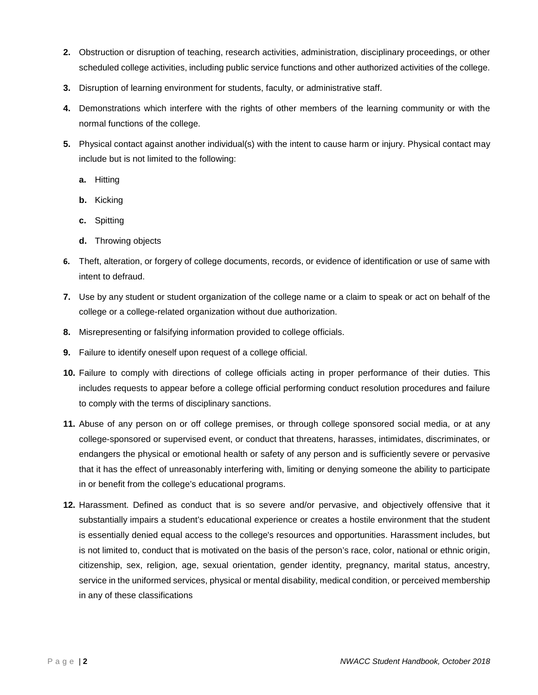- **2.** Obstruction or disruption of teaching, research activities, administration, disciplinary proceedings, or other scheduled college activities, including public service functions and other authorized activities of the college.
- **3.** Disruption of learning environment for students, faculty, or administrative staff.
- **4.** Demonstrations which interfere with the rights of other members of the learning community or with the normal functions of the college.
- **5.** Physical contact against another individual(s) with the intent to cause harm or injury. Physical contact may include but is not limited to the following:
	- **a.** Hitting
	- **b.** Kicking
	- **c.** Spitting
	- **d.** Throwing objects
- **6.** Theft, alteration, or forgery of college documents, records, or evidence of identification or use of same with intent to defraud.
- **7.** Use by any student or student organization of the college name or a claim to speak or act on behalf of the college or a college-related organization without due authorization.
- **8.** Misrepresenting or falsifying information provided to college officials.
- **9.** Failure to identify oneself upon request of a college official.
- **10.** Failure to comply with directions of college officials acting in proper performance of their duties. This includes requests to appear before a college official performing conduct resolution procedures and failure to comply with the terms of disciplinary sanctions.
- **11.** Abuse of any person on or off college premises, or through college sponsored social media, or at any college-sponsored or supervised event, or conduct that threatens, harasses, intimidates, discriminates, or endangers the physical or emotional health or safety of any person and is sufficiently severe or pervasive that it has the effect of unreasonably interfering with, limiting or denying someone the ability to participate in or benefit from the college's educational programs.
- **12.** Harassment. Defined as conduct that is so severe and/or pervasive, and objectively offensive that it substantially impairs a student's educational experience or creates a hostile environment that the student is essentially denied equal access to the college's resources and opportunities. Harassment includes, but is not limited to, conduct that is motivated on the basis of the person's race, color, national or ethnic origin, citizenship, sex, religion, age, sexual orientation, gender identity, pregnancy, marital status, ancestry, service in the uniformed services, physical or mental disability, medical condition, or perceived membership in any of these classifications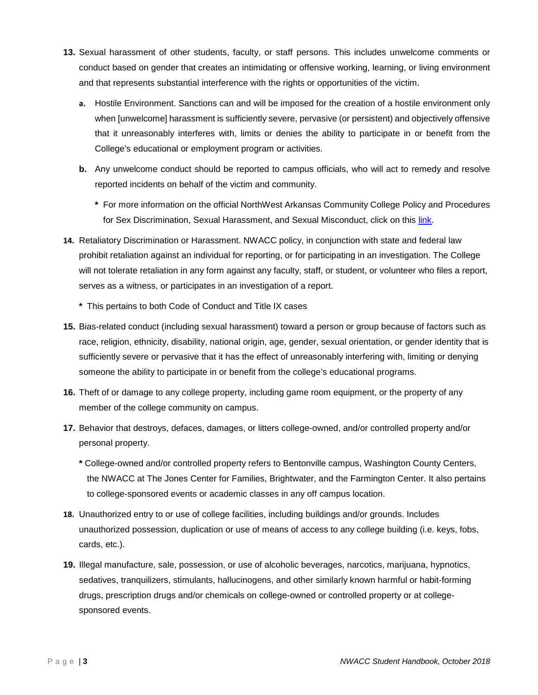- **13.** Sexual harassment of other students, faculty, or staff persons. This includes unwelcome comments or conduct based on gender that creates an intimidating or offensive working, learning, or living environment and that represents substantial interference with the rights or opportunities of the victim.
	- **a.** Hostile Environment. Sanctions can and will be imposed for the creation of a hostile environment only when [unwelcome] harassment is sufficiently severe, pervasive (or persistent) and objectively offensive that it unreasonably interferes with, limits or denies the ability to participate in or benefit from the College's educational or employment program or activities.
	- **b.** Any unwelcome conduct should be reported to campus officials, who will act to remedy and resolve reported incidents on behalf of the victim and community.
		- **\*** For more information on the official NorthWest Arkansas Community College Policy and Procedures for Sex Discrimination, Sexual Harassment, and Sexual Misconduct, click on this [link.](https://www.nwacc.edu/web/conduct/title-ix)
- **14.** Retaliatory Discrimination or Harassment. NWACC policy, in conjunction with state and federal law prohibit retaliation against an individual for reporting, or for participating in an investigation. The College will not tolerate retaliation in any form against any faculty, staff, or student, or volunteer who files a report, serves as a witness, or participates in an investigation of a report.
	- **\*** This pertains to both Code of Conduct and Title IX cases
- **15.** Bias-related conduct (including sexual harassment) toward a person or group because of factors such as race, religion, ethnicity, disability, national origin, age, gender, sexual orientation, or gender identity that is sufficiently severe or pervasive that it has the effect of unreasonably interfering with, limiting or denying someone the ability to participate in or benefit from the college's educational programs.
- **16.** Theft of or damage to any college property, including game room equipment, or the property of any member of the college community on campus.
- **17.** Behavior that destroys, defaces, damages, or litters college-owned, and/or controlled property and/or personal property.
	- **\*** College-owned and/or controlled property refers to Bentonville campus, Washington County Centers, the NWACC at The Jones Center for Families, Brightwater, and the Farmington Center. It also pertains to college-sponsored events or academic classes in any off campus location.
- **18.** Unauthorized entry to or use of college facilities, including buildings and/or grounds. Includes unauthorized possession, duplication or use of means of access to any college building (i.e. keys, fobs, cards, etc.).
- **19.** Illegal manufacture, sale, possession, or use of alcoholic beverages, narcotics, marijuana, hypnotics, sedatives, tranquilizers, stimulants, hallucinogens, and other similarly known harmful or habit-forming drugs, prescription drugs and/or chemicals on college-owned or controlled property or at collegesponsored events.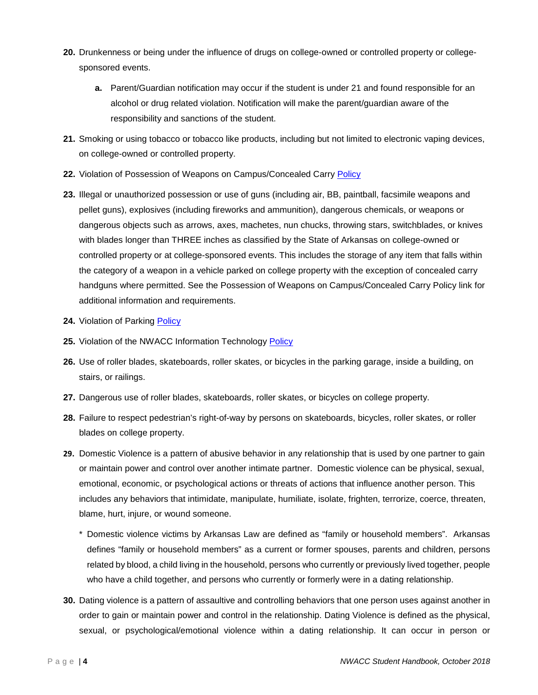- **20.** Drunkenness or being under the influence of drugs on college-owned or controlled property or collegesponsored events.
	- **a.** Parent/Guardian notification may occur if the student is under 21 and found responsible for an alcohol or drug related violation. Notification will make the parent/guardian aware of the responsibility and sanctions of the student.
- **21.** Smoking or using tobacco or tobacco like products, including but not limited to electronic vaping devices, on college-owned or controlled property.
- **22.** Violation of Possession of Weapons on Campus/Concealed Carry [Policy](https://www.nwacc.edu/web/administrativeservices/conceal-carry-weapons)
- **23.** Illegal or unauthorized possession or use of guns (including air, BB, paintball, facsimile weapons and pellet guns), explosives (including fireworks and ammunition), dangerous chemicals, or weapons or dangerous objects such as arrows, axes, machetes, nun chucks, throwing stars, switchblades, or knives with blades longer than THREE inches as classified by the State of Arkansas on college-owned or controlled property or at college-sponsored events. This includes the storage of any item that falls within the category of a weapon in a vehicle parked on college property with the exception of concealed carry handguns where permitted. See the Possession of Weapons on Campus/Concealed Carry Policy link for additional information and requirements.
- 24. Violation of Parking [Policy](http://content.nwacc.edu/administrativeservices/dps/ParkingPolicy.pdf)
- 25. Violation of the NWACC Information Technology [Policy](https://www.nwacc.edu/web/policy/it-policy)
- **26.** Use of roller blades, skateboards, roller skates, or bicycles in the parking garage, inside a building, on stairs, or railings.
- **27.** Dangerous use of roller blades, skateboards, roller skates, or bicycles on college property.
- **28.** Failure to respect pedestrian's right-of-way by persons on skateboards, bicycles, roller skates, or roller blades on college property.
- **29.** Domestic Violence is a pattern of abusive behavior in any relationship that is used by one partner to gain or maintain power and control over another intimate partner. Domestic violence can be physical, sexual, emotional, economic, or psychological actions or threats of actions that influence another person. This includes any behaviors that intimidate, manipulate, humiliate, isolate, frighten, terrorize, coerce, threaten, blame, hurt, injure, or wound someone.
	- \* Domestic violence victims by Arkansas Law are defined as "family or household members". Arkansas defines "family or household members" as a current or former spouses, parents and children, persons related by blood, a child living in the household, persons who currently or previously lived together, people who have a child together, and persons who currently or formerly were in a dating relationship.
- **30.** Dating violence is a pattern of assaultive and controlling behaviors that one person uses against another in order to gain or maintain power and control in the relationship. Dating Violence is defined as the physical, sexual, or psychological/emotional violence within a dating relationship. It can occur in person or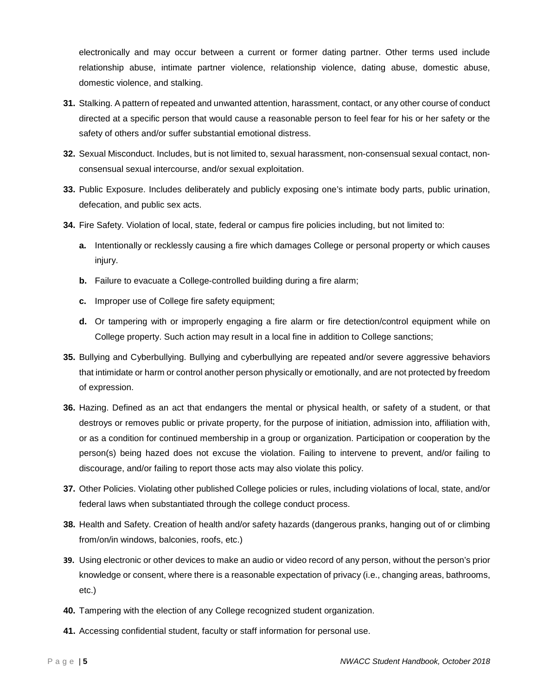electronically and may occur between a current or former dating partner. Other terms used include relationship abuse, intimate partner violence, relationship violence, dating abuse, domestic abuse, domestic violence, and stalking.

- **31.** Stalking. A pattern of repeated and unwanted attention, harassment, contact, or any other course of conduct directed at a specific person that would cause a reasonable person to feel fear for his or her safety or the safety of others and/or suffer substantial emotional distress.
- **32.** Sexual Misconduct. Includes, but is not limited to, sexual harassment, non-consensual sexual contact, nonconsensual sexual intercourse, and/or sexual exploitation.
- **33.** Public Exposure. Includes deliberately and publicly exposing one's intimate body parts, public urination, defecation, and public sex acts.
- **34.** Fire Safety. Violation of local, state, federal or campus fire policies including, but not limited to:
	- **a.** Intentionally or recklessly causing a fire which damages College or personal property or which causes injury.
	- **b.** Failure to evacuate a College-controlled building during a fire alarm;
	- **c.** Improper use of College fire safety equipment;
	- **d.** Or tampering with or improperly engaging a fire alarm or fire detection/control equipment while on College property. Such action may result in a local fine in addition to College sanctions;
- **35.** Bullying and Cyberbullying. Bullying and cyberbullying are repeated and/or severe aggressive behaviors that intimidate or harm or control another person physically or emotionally, and are not protected by freedom of expression.
- **36.** Hazing. Defined as an act that endangers the mental or physical health, or safety of a student, or that destroys or removes public or private property, for the purpose of initiation, admission into, affiliation with, or as a condition for continued membership in a group or organization. Participation or cooperation by the person(s) being hazed does not excuse the violation. Failing to intervene to prevent, and/or failing to discourage, and/or failing to report those acts may also violate this policy.
- **37.** Other Policies. Violating other published College policies or rules, including violations of local, state, and/or federal laws when substantiated through the college conduct process.
- **38.** Health and Safety. Creation of health and/or safety hazards (dangerous pranks, hanging out of or climbing from/on/in windows, balconies, roofs, etc.)
- **39.** Using electronic or other devices to make an audio or video record of any person, without the person's prior knowledge or consent, where there is a reasonable expectation of privacy (i.e., changing areas, bathrooms, etc.)
- **40.** Tampering with the election of any College recognized student organization.
- **41.** Accessing confidential student, faculty or staff information for personal use.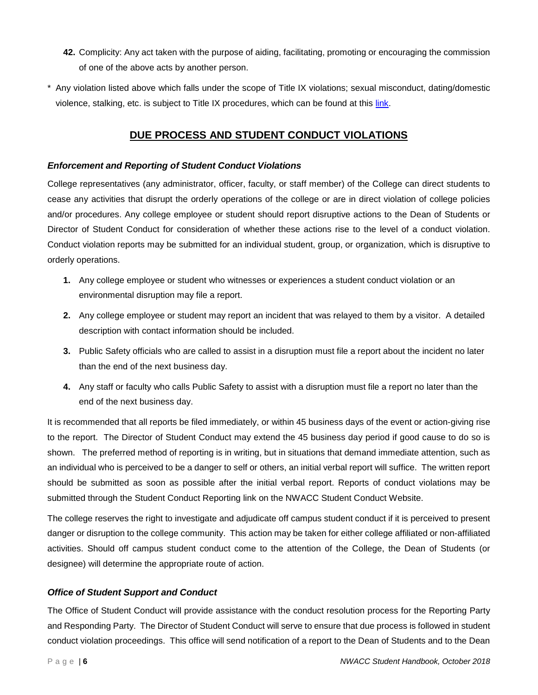- **42.** Complicity: Any act taken with the purpose of aiding, facilitating, promoting or encouraging the commission of one of the above acts by another person.
- \* Any violation listed above which falls under the scope of Title IX violations; sexual misconduct, dating/domestic violence, stalking, etc. is subject to Title IX procedures, which can be found at this [link.](http://content.nwacc.edu/conduct/NWACC%20Title%20IX%20Procedures.pdf)

# **DUE PROCESS AND STUDENT CONDUCT VIOLATIONS**

# *Enforcement and Reporting of Student Conduct Violations*

College representatives (any administrator, officer, faculty, or staff member) of the College can direct students to cease any activities that disrupt the orderly operations of the college or are in direct violation of college policies and/or procedures. Any college employee or student should report disruptive actions to the Dean of Students or Director of Student Conduct for consideration of whether these actions rise to the level of a conduct violation. Conduct violation reports may be submitted for an individual student, group, or organization, which is disruptive to orderly operations.

- **1.** Any college employee or student who witnesses or experiences a student conduct violation or an environmental disruption may file a report.
- **2.** Any college employee or student may report an incident that was relayed to them by a visitor. A detailed description with contact information should be included.
- **3.** Public Safety officials who are called to assist in a disruption must file a report about the incident no later than the end of the next business day.
- **4.** Any staff or faculty who calls Public Safety to assist with a disruption must file a report no later than the end of the next business day.

It is recommended that all reports be filed immediately, or within 45 business days of the event or action-giving rise to the report. The Director of Student Conduct may extend the 45 business day period if good cause to do so is shown. The preferred method of reporting is in writing, but in situations that demand immediate attention, such as an individual who is perceived to be a danger to self or others, an initial verbal report will suffice. The written report should be submitted as soon as possible after the initial verbal report. Reports of conduct violations may be submitted through the Student Conduct Reporting link on the NWACC Student Conduct Website.

The college reserves the right to investigate and adjudicate off campus student conduct if it is perceived to present danger or disruption to the college community. This action may be taken for either college affiliated or non-affiliated activities. Should off campus student conduct come to the attention of the College, the Dean of Students (or designee) will determine the appropriate route of action.

# *Office of Student Support and Conduct*

The Office of Student Conduct will provide assistance with the conduct resolution process for the Reporting Party and Responding Party. The Director of Student Conduct will serve to ensure that due process is followed in student conduct violation proceedings. This office will send notification of a report to the Dean of Students and to the Dean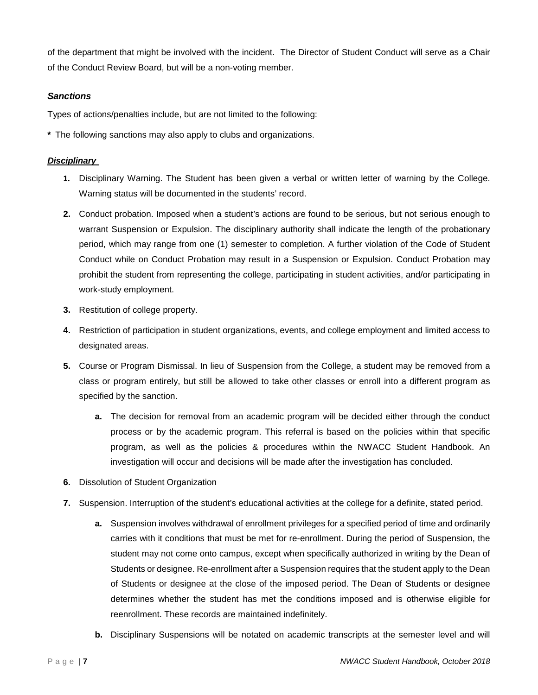of the department that might be involved with the incident. The Director of Student Conduct will serve as a Chair of the Conduct Review Board, but will be a non-voting member.

# *Sanctions*

Types of actions/penalties include, but are not limited to the following:

**\*** The following sanctions may also apply to clubs and organizations.

#### *Disciplinary*

- **1.** Disciplinary Warning. The Student has been given a verbal or written letter of warning by the College. Warning status will be documented in the students' record.
- **2.** Conduct probation. Imposed when a student's actions are found to be serious, but not serious enough to warrant Suspension or Expulsion. The disciplinary authority shall indicate the length of the probationary period, which may range from one (1) semester to completion. A further violation of the Code of Student Conduct while on Conduct Probation may result in a Suspension or Expulsion. Conduct Probation may prohibit the student from representing the college, participating in student activities, and/or participating in work-study employment.
- **3.** Restitution of college property.
- **4.** Restriction of participation in student organizations, events, and college employment and limited access to designated areas.
- **5.** Course or Program Dismissal. In lieu of Suspension from the College, a student may be removed from a class or program entirely, but still be allowed to take other classes or enroll into a different program as specified by the sanction.
	- **a.** The decision for removal from an academic program will be decided either through the conduct process or by the academic program. This referral is based on the policies within that specific program, as well as the policies & procedures within the NWACC Student Handbook. An investigation will occur and decisions will be made after the investigation has concluded.
- **6.** Dissolution of Student Organization
- **7.** Suspension. Interruption of the student's educational activities at the college for a definite, stated period.
	- **a.** Suspension involves withdrawal of enrollment privileges for a specified period of time and ordinarily carries with it conditions that must be met for re-enrollment. During the period of Suspension, the student may not come onto campus, except when specifically authorized in writing by the Dean of Students or designee. Re-enrollment after a Suspension requires that the student apply to the Dean of Students or designee at the close of the imposed period. The Dean of Students or designee determines whether the student has met the conditions imposed and is otherwise eligible for reenrollment. These records are maintained indefinitely.
	- **b.** Disciplinary Suspensions will be notated on academic transcripts at the semester level and will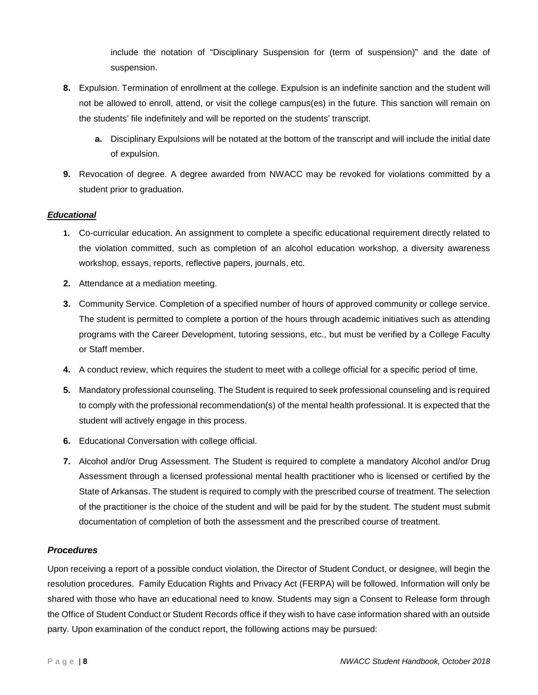include the notation of "Disciplinary Suspension for (term of suspension)" and the date of suspension.

- **8.** Expulsion. Termination of enrollment at the college. Expulsion is an indefinite sanction and the student will not be allowed to enroll, attend, or visit the college campus(es) in the future. This sanction will remain on the students' file indefinitely and will be reported on the students' transcript.
	- **a.** Disciplinary Expulsions will be notated at the bottom of the transcript and will include the initial date of expulsion.
- **9.** Revocation of degree. A degree awarded from NWACC may be revoked for violations committed by a student prior to graduation.

## *Educational*

- **1.** Co-curricular education. An assignment to complete a specific educational requirement directly related to the violation committed, such as completion of an alcohol education workshop, a diversity awareness workshop, essays, reports, reflective papers, journals, etc.
- **2.** Attendance at a mediation meeting.
- **3.** Community Service. Completion of a specified number of hours of approved community or college service. The student is permitted to complete a portion of the hours through academic initiatives such as attending programs with the Career Development, tutoring sessions, etc., but must be verified by a College Faculty or Staff member.
- **4.** A conduct review, which requires the student to meet with a college official for a specific period of time.
- **5.** Mandatory professional counseling. The Student is required to seek professional counseling and is required to comply with the professional recommendation(s) of the mental health professional. It is expected that the student will actively engage in this process.
- **6.** Educational Conversation with college official.
- **7.** Alcohol and/or Drug Assessment. The Student is required to complete a mandatory Alcohol and/or Drug Assessment through a licensed professional mental health practitioner who is licensed or certified by the State of Arkansas. The student is required to comply with the prescribed course of treatment. The selection of the practitioner is the choice of the student and will be paid for by the student. The student must submit documentation of completion of both the assessment and the prescribed course of treatment.

## *Procedures*

Upon receiving a report of a possible conduct violation, the Director of Student Conduct, or designee, will begin the resolution procedures. Family Education Rights and Privacy Act (FERPA) will be followed. Information will only be shared with those who have an educational need to know. Students may sign a Consent to Release form through the Office of Student Conduct or Student Records office if they wish to have case information shared with an outside party. Upon examination of the conduct report, the following actions may be pursued: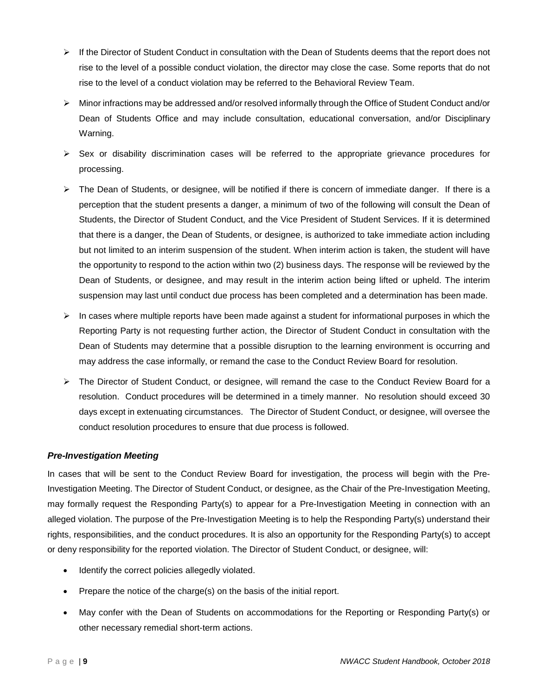- $\triangleright$  If the Director of Student Conduct in consultation with the Dean of Students deems that the report does not rise to the level of a possible conduct violation, the director may close the case. Some reports that do not rise to the level of a conduct violation may be referred to the Behavioral Review Team.
- Minor infractions may be addressed and/or resolved informally through the Office of Student Conduct and/or Dean of Students Office and may include consultation, educational conversation, and/or Disciplinary Warning.
- $\triangleright$  Sex or disability discrimination cases will be referred to the appropriate grievance procedures for processing.
- $\triangleright$  The Dean of Students, or designee, will be notified if there is concern of immediate danger. If there is a perception that the student presents a danger, a minimum of two of the following will consult the Dean of Students, the Director of Student Conduct, and the Vice President of Student Services. If it is determined that there is a danger, the Dean of Students, or designee, is authorized to take immediate action including but not limited to an interim suspension of the student. When interim action is taken, the student will have the opportunity to respond to the action within two (2) business days. The response will be reviewed by the Dean of Students, or designee, and may result in the interim action being lifted or upheld. The interim suspension may last until conduct due process has been completed and a determination has been made.
- $\triangleright$  In cases where multiple reports have been made against a student for informational purposes in which the Reporting Party is not requesting further action, the Director of Student Conduct in consultation with the Dean of Students may determine that a possible disruption to the learning environment is occurring and may address the case informally, or remand the case to the Conduct Review Board for resolution.
- The Director of Student Conduct, or designee, will remand the case to the Conduct Review Board for a resolution. Conduct procedures will be determined in a timely manner. No resolution should exceed 30 days except in extenuating circumstances. The Director of Student Conduct, or designee, will oversee the conduct resolution procedures to ensure that due process is followed.

## *Pre-Investigation Meeting*

In cases that will be sent to the Conduct Review Board for investigation, the process will begin with the Pre-Investigation Meeting. The Director of Student Conduct, or designee, as the Chair of the Pre-Investigation Meeting, may formally request the Responding Party(s) to appear for a Pre-Investigation Meeting in connection with an alleged violation. The purpose of the Pre-Investigation Meeting is to help the Responding Party(s) understand their rights, responsibilities, and the conduct procedures. It is also an opportunity for the Responding Party(s) to accept or deny responsibility for the reported violation. The Director of Student Conduct, or designee, will:

- Identify the correct policies allegedly violated.
- Prepare the notice of the charge(s) on the basis of the initial report.
- May confer with the Dean of Students on accommodations for the Reporting or Responding Party(s) or other necessary remedial short-term actions.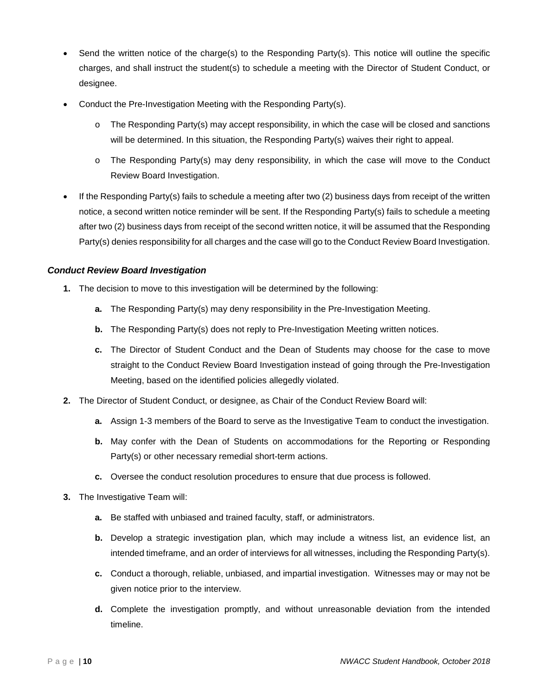- Send the written notice of the charge(s) to the Responding Party(s). This notice will outline the specific charges, and shall instruct the student(s) to schedule a meeting with the Director of Student Conduct, or designee.
- Conduct the Pre-Investigation Meeting with the Responding Party(s).
	- o The Responding Party(s) may accept responsibility, in which the case will be closed and sanctions will be determined. In this situation, the Responding Party(s) waives their right to appeal.
	- o The Responding Party(s) may deny responsibility, in which the case will move to the Conduct Review Board Investigation.
- If the Responding Party(s) fails to schedule a meeting after two (2) business days from receipt of the written notice, a second written notice reminder will be sent. If the Responding Party(s) fails to schedule a meeting after two (2) business days from receipt of the second written notice, it will be assumed that the Responding Party(s) denies responsibility for all charges and the case will go to the Conduct Review Board Investigation.

# *Conduct Review Board Investigation*

- **1.** The decision to move to this investigation will be determined by the following:
	- **a.** The Responding Party(s) may deny responsibility in the Pre-Investigation Meeting.
	- **b.** The Responding Party(s) does not reply to Pre-Investigation Meeting written notices.
	- **c.** The Director of Student Conduct and the Dean of Students may choose for the case to move straight to the Conduct Review Board Investigation instead of going through the Pre-Investigation Meeting, based on the identified policies allegedly violated.
- **2.** The Director of Student Conduct, or designee, as Chair of the Conduct Review Board will:
	- **a.** Assign 1-3 members of the Board to serve as the Investigative Team to conduct the investigation.
	- **b.** May confer with the Dean of Students on accommodations for the Reporting or Responding Party(s) or other necessary remedial short-term actions.
	- **c.** Oversee the conduct resolution procedures to ensure that due process is followed.
- **3.** The Investigative Team will:
	- **a.** Be staffed with unbiased and trained faculty, staff, or administrators.
	- **b.** Develop a strategic investigation plan, which may include a witness list, an evidence list, an intended timeframe, and an order of interviews for all witnesses, including the Responding Party(s).
	- **c.** Conduct a thorough, reliable, unbiased, and impartial investigation. Witnesses may or may not be given notice prior to the interview.
	- **d.** Complete the investigation promptly, and without unreasonable deviation from the intended timeline.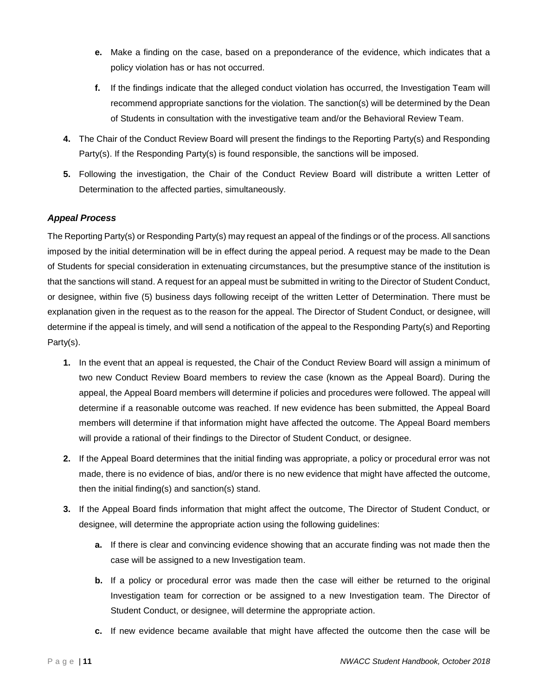- **e.** Make a finding on the case, based on a preponderance of the evidence, which indicates that a policy violation has or has not occurred.
- **f.** If the findings indicate that the alleged conduct violation has occurred, the Investigation Team will recommend appropriate sanctions for the violation. The sanction(s) will be determined by the Dean of Students in consultation with the investigative team and/or the Behavioral Review Team.
- **4.** The Chair of the Conduct Review Board will present the findings to the Reporting Party(s) and Responding Party(s). If the Responding Party(s) is found responsible, the sanctions will be imposed.
- **5.** Following the investigation, the Chair of the Conduct Review Board will distribute a written Letter of Determination to the affected parties, simultaneously.

# *Appeal Process*

The Reporting Party(s) or Responding Party(s) may request an appeal of the findings or of the process. All sanctions imposed by the initial determination will be in effect during the appeal period. A request may be made to the Dean of Students for special consideration in extenuating circumstances, but the presumptive stance of the institution is that the sanctions will stand. A request for an appeal must be submitted in writing to the Director of Student Conduct, or designee, within five (5) business days following receipt of the written Letter of Determination. There must be explanation given in the request as to the reason for the appeal. The Director of Student Conduct, or designee, will determine if the appeal is timely, and will send a notification of the appeal to the Responding Party(s) and Reporting Party(s).

- **1.** In the event that an appeal is requested, the Chair of the Conduct Review Board will assign a minimum of two new Conduct Review Board members to review the case (known as the Appeal Board). During the appeal, the Appeal Board members will determine if policies and procedures were followed. The appeal will determine if a reasonable outcome was reached. If new evidence has been submitted, the Appeal Board members will determine if that information might have affected the outcome. The Appeal Board members will provide a rational of their findings to the Director of Student Conduct, or designee.
- **2.** If the Appeal Board determines that the initial finding was appropriate, a policy or procedural error was not made, there is no evidence of bias, and/or there is no new evidence that might have affected the outcome, then the initial finding(s) and sanction(s) stand.
- **3.** If the Appeal Board finds information that might affect the outcome, The Director of Student Conduct, or designee, will determine the appropriate action using the following guidelines:
	- **a.** If there is clear and convincing evidence showing that an accurate finding was not made then the case will be assigned to a new Investigation team.
	- **b.** If a policy or procedural error was made then the case will either be returned to the original Investigation team for correction or be assigned to a new Investigation team. The Director of Student Conduct, or designee, will determine the appropriate action.
	- **c.** If new evidence became available that might have affected the outcome then the case will be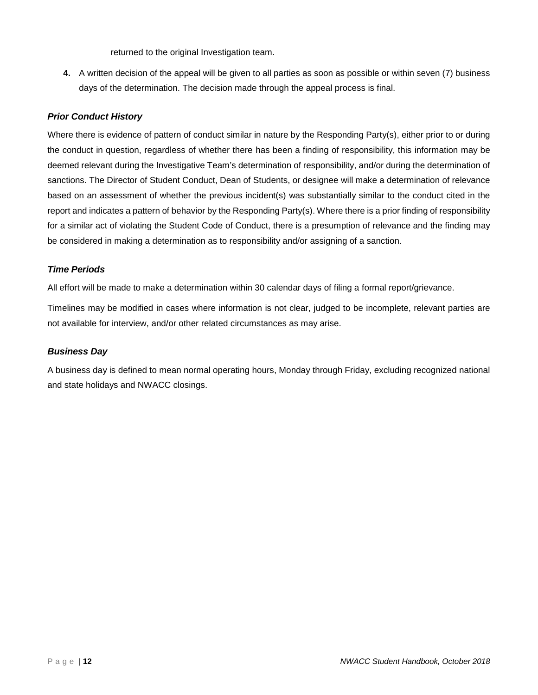returned to the original Investigation team.

**4.** A written decision of the appeal will be given to all parties as soon as possible or within seven (7) business days of the determination. The decision made through the appeal process is final.

# *Prior Conduct History*

Where there is evidence of pattern of conduct similar in nature by the Responding Party(s), either prior to or during the conduct in question, regardless of whether there has been a finding of responsibility, this information may be deemed relevant during the Investigative Team's determination of responsibility, and/or during the determination of sanctions. The Director of Student Conduct, Dean of Students, or designee will make a determination of relevance based on an assessment of whether the previous incident(s) was substantially similar to the conduct cited in the report and indicates a pattern of behavior by the Responding Party(s). Where there is a prior finding of responsibility for a similar act of violating the Student Code of Conduct, there is a presumption of relevance and the finding may be considered in making a determination as to responsibility and/or assigning of a sanction.

## *Time Periods*

All effort will be made to make a determination within 30 calendar days of filing a formal report/grievance.

Timelines may be modified in cases where information is not clear, judged to be incomplete, relevant parties are not available for interview, and/or other related circumstances as may arise.

## *Business Day*

A business day is defined to mean normal operating hours, Monday through Friday, excluding recognized national and state holidays and NWACC closings.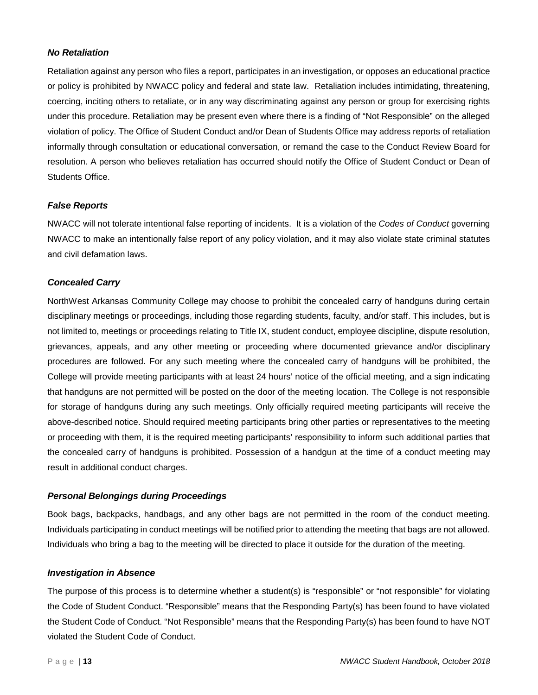## *No Retaliation*

Retaliation against any person who files a report, participates in an investigation, or opposes an educational practice or policy is prohibited by NWACC policy and federal and state law. Retaliation includes intimidating, threatening, coercing, inciting others to retaliate, or in any way discriminating against any person or group for exercising rights under this procedure. Retaliation may be present even where there is a finding of "Not Responsible" on the alleged violation of policy. The Office of Student Conduct and/or Dean of Students Office may address reports of retaliation informally through consultation or educational conversation, or remand the case to the Conduct Review Board for resolution. A person who believes retaliation has occurred should notify the Office of Student Conduct or Dean of Students Office.

#### *False Reports*

NWACC will not tolerate intentional false reporting of incidents. It is a violation of the *Codes of Conduct* governing NWACC to make an intentionally false report of any policy violation, and it may also violate state criminal statutes and civil defamation laws.

#### *Concealed Carry*

NorthWest Arkansas Community College may choose to prohibit the concealed carry of handguns during certain disciplinary meetings or proceedings, including those regarding students, faculty, and/or staff. This includes, but is not limited to, meetings or proceedings relating to Title IX, student conduct, employee discipline, dispute resolution, grievances, appeals, and any other meeting or proceeding where documented grievance and/or disciplinary procedures are followed. For any such meeting where the concealed carry of handguns will be prohibited, the College will provide meeting participants with at least 24 hours' notice of the official meeting, and a sign indicating that handguns are not permitted will be posted on the door of the meeting location. The College is not responsible for storage of handguns during any such meetings. Only officially required meeting participants will receive the above-described notice. Should required meeting participants bring other parties or representatives to the meeting or proceeding with them, it is the required meeting participants' responsibility to inform such additional parties that the concealed carry of handguns is prohibited. Possession of a handgun at the time of a conduct meeting may result in additional conduct charges.

#### *Personal Belongings during Proceedings*

Book bags, backpacks, handbags, and any other bags are not permitted in the room of the conduct meeting. Individuals participating in conduct meetings will be notified prior to attending the meeting that bags are not allowed. Individuals who bring a bag to the meeting will be directed to place it outside for the duration of the meeting.

#### *Investigation in Absence*

The purpose of this process is to determine whether a student(s) is "responsible" or "not responsible" for violating the Code of Student Conduct. "Responsible" means that the Responding Party(s) has been found to have violated the Student Code of Conduct. "Not Responsible" means that the Responding Party(s) has been found to have NOT violated the Student Code of Conduct.